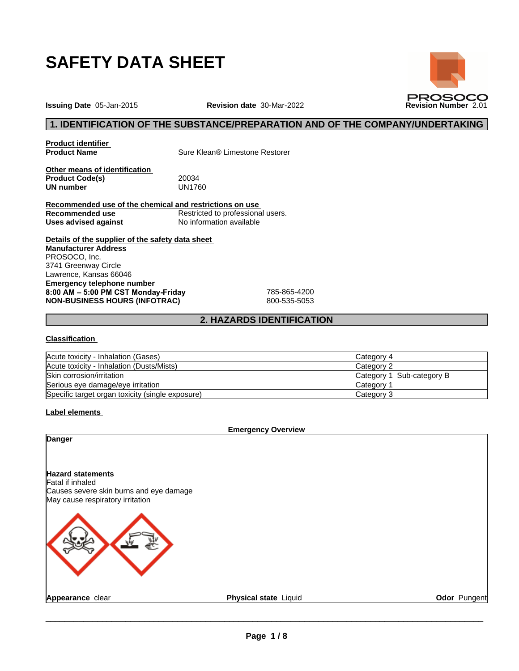

**Issuing Date** 05-Jan-2015 **Revision date** 30-Mar-2022 **Revision Number** 2.01

# **1. IDENTIFICATION OF THE SUBSTANCE/PREPARATION AND OF THE COMPANY/UNDERTAKING**

**PROSOCO** 

**Product identifier**

**Sure Klean® Limestone Restorer** 

**Other means of identification Product Code(s)** 20034<br> **UN number** UN1760 **UN number** 

**Recommended use of the chemical and restrictions on use Recommended use**<br> **Uses advised against**<br>
No information available **No information available** 

**Details of the supplier of the safety data sheet Emergency telephone number 8:00AM–5:00PMCSTMonday-Friday** 785-865-4200 **NON-BUSINESS HOURS (INFOTRAC)** 800-535-5053 **Manufacturer Address** PROSOCO, Inc. 3741 Greenway Circle Lawrence, Kansas 66046

## **2. HAZARDS IDENTIFICATION**

#### **Classification**

| Acute toxicity - Inhalation (Gases)              | Category 4                |
|--------------------------------------------------|---------------------------|
| Acute toxicity - Inhalation (Dusts/Mists)        | Category 2                |
| Skin corrosion/irritation                        | Category 1 Sub-category B |
| Serious eye damage/eye irritation                | Category                  |
| Specific target organ toxicity (single exposure) | Category 3                |

**Label elements**

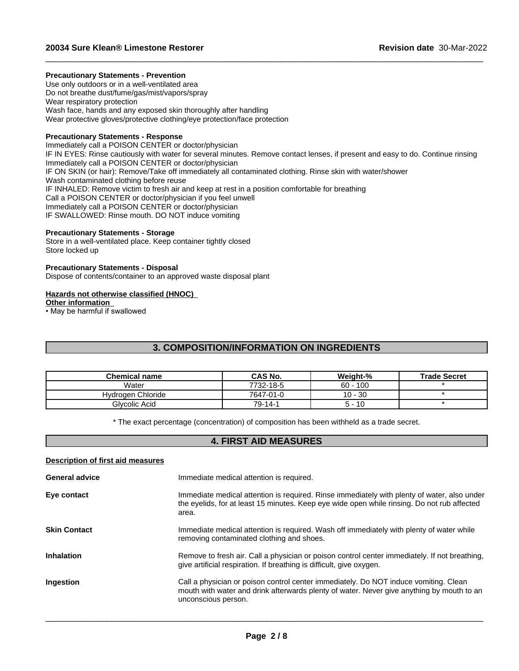## **Precautionary Statements - Prevention**

Use only outdoors or in a well-ventilated area Do not breathe dust/fume/gas/mist/vapors/spray Wear respiratory protection Wash face, hands and any exposed skin thoroughly after handling Wear protective gloves/protective clothing/eye protection/face protection

## **Precautionary Statements - Response**

Immediately call a POISON CENTER or doctor/physician IF IN EYES: Rinse cautiously with water for several minutes. Remove contact lenses, if present and easy to do. Continue rinsing Immediately call a POISON CENTER or doctor/physician IF ON SKIN (or hair): Remove/Take off immediately all contaminated clothing. Rinse skin with water/shower Wash contaminated clothing before reuse IF INHALED: Remove victim to fresh air and keep at rest in a position comfortable for breathing Call a POISON CENTER or doctor/physician if you feel unwell Immediately call a POISON CENTER or doctor/physician IF SWALLOWED: Rinse mouth. DO NOT induce vomiting

 $\_$  ,  $\_$  ,  $\_$  ,  $\_$  ,  $\_$  ,  $\_$  ,  $\_$  ,  $\_$  ,  $\_$  ,  $\_$  ,  $\_$  ,  $\_$  ,  $\_$  ,  $\_$  ,  $\_$  ,  $\_$  ,  $\_$  ,  $\_$  ,  $\_$  ,  $\_$  ,  $\_$  ,  $\_$  ,  $\_$  ,  $\_$  ,  $\_$  ,  $\_$  ,  $\_$  ,  $\_$  ,  $\_$  ,  $\_$  ,  $\_$  ,  $\_$  ,  $\_$  ,  $\_$  ,  $\_$  ,  $\_$  ,  $\_$  ,

## **Precautionary Statements - Storage**

Store in a well-ventilated place. Keep container tightly closed Store locked up

#### **Precautionary Statements - Disposal**

Dispose of contents/container to an approved waste disposal plant

## **Hazards not otherwise classified (HNOC)**

**Other information**

• May be harmful if swallowed

# **3. COMPOSITION/INFORMATION ON INGREDIENTS**

| Chemical name     | CAS No.   | Weight-%   | <b>Trade Secret</b> |
|-------------------|-----------|------------|---------------------|
| Water             | 7732-18-5 | $60 - 100$ |                     |
| Hydrogen Chloride | 7647-01-0 | $10 - 30$  |                     |
| Glvcolic Acid     | 79-14-1   | 10<br>ה ה  |                     |

\* The exact percentage (concentration) of composition has been withheld as a trade secret.

# **4. FIRST AID MEASURES**

## **Description of first aid measures**

| <b>General advice</b> | Immediate medical attention is required.                                                                                                                                                                 |
|-----------------------|----------------------------------------------------------------------------------------------------------------------------------------------------------------------------------------------------------|
| Eye contact           | Immediate medical attention is required. Rinse immediately with plenty of water, also under<br>the eyelids, for at least 15 minutes. Keep eye wide open while rinsing. Do not rub affected<br>area.      |
| <b>Skin Contact</b>   | Immediate medical attention is required. Wash off immediately with plenty of water while<br>removing contaminated clothing and shoes.                                                                    |
| <b>Inhalation</b>     | Remove to fresh air. Call a physician or poison control center immediately. If not breathing,<br>give artificial respiration. If breathing is difficult, give oxygen.                                    |
| Ingestion             | Call a physician or poison control center immediately. Do NOT induce vomiting. Clean<br>mouth with water and drink afterwards plenty of water. Never give anything by mouth to an<br>unconscious person. |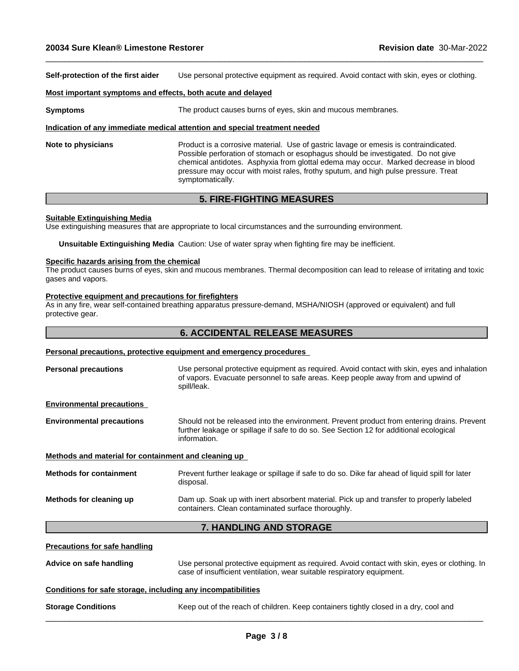**Self-protection of the first aider** Use personal protective equipment as required. Avoid contact with skin, eyes or clothing.

 $\_$  ,  $\_$  ,  $\_$  ,  $\_$  ,  $\_$  ,  $\_$  ,  $\_$  ,  $\_$  ,  $\_$  ,  $\_$  ,  $\_$  ,  $\_$  ,  $\_$  ,  $\_$  ,  $\_$  ,  $\_$  ,  $\_$  ,  $\_$  ,  $\_$  ,  $\_$  ,  $\_$  ,  $\_$  ,  $\_$  ,  $\_$  ,  $\_$  ,  $\_$  ,  $\_$  ,  $\_$  ,  $\_$  ,  $\_$  ,  $\_$  ,  $\_$  ,  $\_$  ,  $\_$  ,  $\_$  ,  $\_$  ,  $\_$  ,

#### **Most important symptoms and effects, both acute and delayed**

**Symptoms** The product causes burns of eyes, skin and mucous membranes.

#### **Indication of any immediate medical attention and special treatment needed**

**Note to physicians** Product is a corrosive material. Use of gastric lavage or emesis is contraindicated. Possible perforation of stomach or esophagus should be investigated. Do not give chemical antidotes. Asphyxia from glottal edema may occur. Marked decrease in blood pressure may occur with moist rales, frothy sputum, and high pulse pressure. Treat symptomatically.

# **5. FIRE-FIGHTING MEASURES**

#### **Suitable Extinguishing Media**

Use extinguishing measures that are appropriate to local circumstances and the surrounding environment.

**Unsuitable Extinguishing Media** Caution: Use of water spray when fighting fire may be inefficient.

#### **Specific hazards arising from the chemical**

The product causes burns of eyes, skin and mucous membranes. Thermal decomposition can lead to release of irritating and toxic gases and vapors.

#### **Protective equipment and precautions for firefighters**

As in any fire, wear self-contained breathing apparatus pressure-demand, MSHA/NIOSH (approved or equivalent) and full protective gear.

# **6. ACCIDENTAL RELEASE MEASURES**

## **Personal precautions, protective equipment and emergency procedures**

| <b>Personal precautions</b> | Use personal protective equipment as required. Avoid contact with skin, eyes and inhalation |
|-----------------------------|---------------------------------------------------------------------------------------------|
|                             | of vapors. Evacuate personnel to safe areas. Keep people away from and upwind of            |
|                             | spill/leak.                                                                                 |
|                             |                                                                                             |

**Environmental precautions**

**Environmental precautions** Should not be released into the environment. Prevent product from entering drains. Prevent further leakage or spillage if safe to do so. See Section 12 for additional ecological information.

#### **Methods and material for containment and cleaning up**

| <b>Methods for containment</b> | Prevent further leakage or spillage if safe to do so. Dike far ahead of liquid spill for later<br>disposal.                                   |
|--------------------------------|-----------------------------------------------------------------------------------------------------------------------------------------------|
| Methods for cleaning up        | Dam up. Soak up with inert absorbent material. Pick up and transfer to properly labeled<br>containers. Clean contaminated surface thoroughly. |

# **7. HANDLING AND STORAGE**

|                                                              | <b>1. HANDLING AND STORAGE</b>                                                                                                                                         |
|--------------------------------------------------------------|------------------------------------------------------------------------------------------------------------------------------------------------------------------------|
| <b>Precautions for safe handling</b>                         |                                                                                                                                                                        |
| Advice on safe handling                                      | Use personal protective equipment as required. Avoid contact with skin, eyes or clothing. In<br>case of insufficient ventilation, wear suitable respiratory equipment. |
| Conditions for safe storage, including any incompatibilities |                                                                                                                                                                        |
| <b>Storage Conditions</b>                                    | Keep out of the reach of children. Keep containers tightly closed in a dry, cool and                                                                                   |
|                                                              |                                                                                                                                                                        |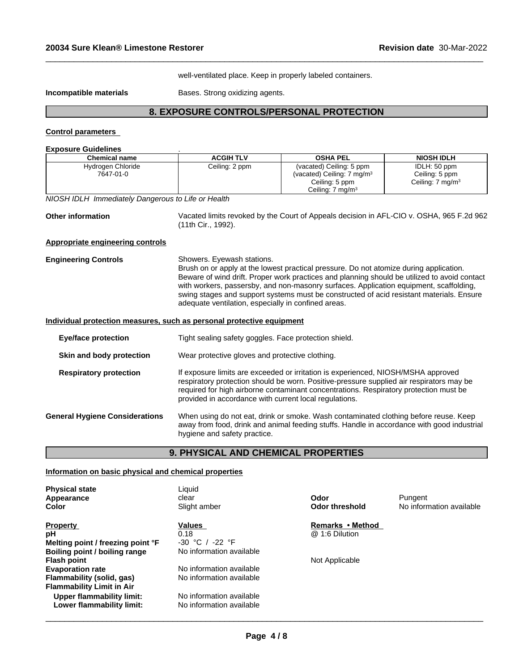well-ventilated place. Keep in properly labeled containers.

 $\_$  ,  $\_$  ,  $\_$  ,  $\_$  ,  $\_$  ,  $\_$  ,  $\_$  ,  $\_$  ,  $\_$  ,  $\_$  ,  $\_$  ,  $\_$  ,  $\_$  ,  $\_$  ,  $\_$  ,  $\_$  ,  $\_$  ,  $\_$  ,  $\_$  ,  $\_$  ,  $\_$  ,  $\_$  ,  $\_$  ,  $\_$  ,  $\_$  ,  $\_$  ,  $\_$  ,  $\_$  ,  $\_$  ,  $\_$  ,  $\_$  ,  $\_$  ,  $\_$  ,  $\_$  ,  $\_$  ,  $\_$  ,  $\_$  ,

**Incompatible materials Bases.** Strong oxidizing agents.

# **8. EXPOSURE CONTROLS/PERSONAL PROTECTION**

# **Control parameters**

| <b>Exposure Guidelines</b> |  |
|----------------------------|--|
|                            |  |

| <b>Chemical name</b>                                                  | <b>ACGIH TLV</b>                                                                  | <b>OSHA PEL</b>                                                                                                                                                                                                                                                                                                                                                              | <b>NIOSH IDLH</b>                                              |  |  |  |  |
|-----------------------------------------------------------------------|-----------------------------------------------------------------------------------|------------------------------------------------------------------------------------------------------------------------------------------------------------------------------------------------------------------------------------------------------------------------------------------------------------------------------------------------------------------------------|----------------------------------------------------------------|--|--|--|--|
| Hydrogen Chloride<br>7647-01-0                                        | Ceiling: 2 ppm                                                                    | (vacated) Ceiling: 5 ppm<br>(vacated) Ceiling: 7 mg/m <sup>3</sup><br>Ceiling: 5 ppm                                                                                                                                                                                                                                                                                         | IDLH: 50 ppm<br>Ceiling: 5 ppm<br>Ceiling: 7 mg/m <sup>3</sup> |  |  |  |  |
|                                                                       |                                                                                   | Ceiling: 7 mg/m <sup>3</sup>                                                                                                                                                                                                                                                                                                                                                 |                                                                |  |  |  |  |
| NIOSH IDLH Immediately Dangerous to Life or Health                    |                                                                                   |                                                                                                                                                                                                                                                                                                                                                                              |                                                                |  |  |  |  |
| <b>Other information</b>                                              | (11th Cir., 1992).                                                                | Vacated limits revoked by the Court of Appeals decision in AFL-CIO v. OSHA, 965 F.2d 962                                                                                                                                                                                                                                                                                     |                                                                |  |  |  |  |
| Appropriate engineering controls                                      |                                                                                   |                                                                                                                                                                                                                                                                                                                                                                              |                                                                |  |  |  |  |
| <b>Engineering Controls</b>                                           | Showers. Eyewash stations.<br>adequate ventilation, especially in confined areas. | Brush on or apply at the lowest practical pressure. Do not atomize during application.<br>Beware of wind drift. Proper work practices and planning should be utilized to avoid contact<br>with workers, passersby, and non-masonry surfaces. Application equipment, scaffolding,<br>swing stages and support systems must be constructed of acid resistant materials. Ensure |                                                                |  |  |  |  |
| Individual protection measures, such as personal protective equipment |                                                                                   |                                                                                                                                                                                                                                                                                                                                                                              |                                                                |  |  |  |  |
| <b>Eye/face protection</b>                                            | Tight sealing safety goggles. Face protection shield.                             |                                                                                                                                                                                                                                                                                                                                                                              |                                                                |  |  |  |  |
| Skin and body protection                                              | Wear protective gloves and protective clothing.                                   |                                                                                                                                                                                                                                                                                                                                                                              |                                                                |  |  |  |  |
| <b>Respiratory protection</b>                                         | provided in accordance with current local regulations.                            | If exposure limits are exceeded or irritation is experienced, NIOSH/MSHA approved<br>respiratory protection should be worn. Positive-pressure supplied air respirators may be<br>required for high airborne contaminant concentrations. Respiratory protection must be                                                                                                       |                                                                |  |  |  |  |
| <b>General Hygiene Considerations</b>                                 | hygiene and safety practice.                                                      | When using do not eat, drink or smoke. Wash contaminated clothing before reuse. Keep<br>away from food, drink and animal feeding stuffs. Handle in accordance with good industrial                                                                                                                                                                                           |                                                                |  |  |  |  |

# **9. PHYSICAL AND CHEMICAL PROPERTIES**

## **Information on basic physical and chemical properties**

| <b>Physical state</b><br>Appearance                    | Liauid<br>clear                                      | Odor                  | Pungent                  |
|--------------------------------------------------------|------------------------------------------------------|-----------------------|--------------------------|
| Color                                                  | Slight amber                                         | <b>Odor threshold</b> | No information available |
| <b>Property</b>                                        | Values                                               | Remarks • Method      |                          |
| pН                                                     | 0.18                                                 | @ 1:6 Dilution        |                          |
| Melting point / freezing point °F                      | $-30 °C /$<br>-22 °F                                 |                       |                          |
| Boiling point / boiling range                          | No information available                             |                       |                          |
| Flash point                                            |                                                      | Not Applicable        |                          |
| <b>Evaporation rate</b>                                | No information available                             |                       |                          |
| Flammability (solid, gas)                              | No information available                             |                       |                          |
| Flammability Limit in Air                              |                                                      |                       |                          |
| Upper flammability limit:<br>Lower flammability limit: | No information available<br>No information available |                       |                          |
|                                                        |                                                      |                       |                          |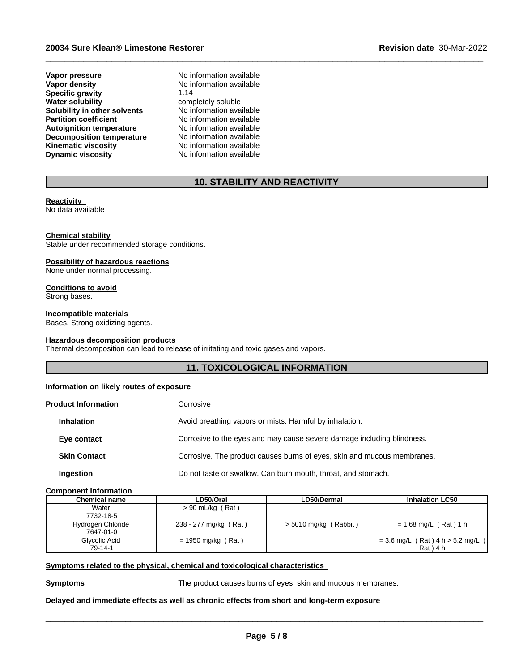**Vapor pressure No information available**<br> **Vapor density No information available Specific gravity**<br>Water solubility **Solubility in other solvents** No information available<br> **Partition coefficient** No information available **Partition coefficient**<br> **Autoignition temperature**<br>
No information available **Autoignition temperature No information available**<br>**Decomposition temperature No information available Decomposition temperature**<br>**Kinematic viscosity Dynamic viscosity** No information available

**No information available**<br>1.14 **completely soluble**<br>No information available **Kinematic viscosity** No information available

# **10. STABILITY AND REACTIVITY**

 $\_$  ,  $\_$  ,  $\_$  ,  $\_$  ,  $\_$  ,  $\_$  ,  $\_$  ,  $\_$  ,  $\_$  ,  $\_$  ,  $\_$  ,  $\_$  ,  $\_$  ,  $\_$  ,  $\_$  ,  $\_$  ,  $\_$  ,  $\_$  ,  $\_$  ,  $\_$  ,  $\_$  ,  $\_$  ,  $\_$  ,  $\_$  ,  $\_$  ,  $\_$  ,  $\_$  ,  $\_$  ,  $\_$  ,  $\_$  ,  $\_$  ,  $\_$  ,  $\_$  ,  $\_$  ,  $\_$  ,  $\_$  ,  $\_$  ,

## **Reactivity**

No data available

## **Chemical stability**

Stable under recommended storage conditions.

## **Possibility of hazardous reactions**

None under normal processing.

# **Conditions to avoid**

Strong bases.

# **Incompatible materials**

Bases. Strong oxidizing agents.

## **Hazardous decomposition products**

Thermal decomposition can lead to release of irritating and toxic gases and vapors.

# **11. TOXICOLOGICAL INFORMATION**

## **Information on likely routes of exposure**

| <b>Product Information</b> | Corrosive                                                               |
|----------------------------|-------------------------------------------------------------------------|
| <b>Inhalation</b>          | Avoid breathing vapors or mists. Harmful by inhalation.                 |
| Eye contact                | Corrosive to the eyes and may cause severe damage including blindness.  |
| <b>Skin Contact</b>        | Corrosive. The product causes burns of eyes, skin and mucous membranes. |
| Ingestion                  | Do not taste or swallow. Can burn mouth, throat, and stomach.           |
|                            |                                                                         |

# **Component Information**

| Chemical name     | LD50/Oral             | LD50/Dermal             | <b>Inhalation LC50</b>              |
|-------------------|-----------------------|-------------------------|-------------------------------------|
| Water             | $> 90$ mL/kg (Rat)    |                         |                                     |
| 7732-18-5         |                       |                         |                                     |
| Hydrogen Chloride | 238 - 277 mg/kg (Rat) | $>$ 5010 mg/kg (Rabbit) | = 1.68 mg/L (Rat) 1 h               |
| 7647-01-0         |                       |                         |                                     |
| Glycolic Acid     | $= 1950$ mg/kg (Rat)  |                         | $= 3.6$ mg/L (Rat) 4 h > 5.2 mg/L ( |
| 79-14-1           |                       |                         | $Rat$ $14h$                         |

# **<u>Symptoms related to the physical, chemical and toxicological characteristics</u>**

**Symptoms** The product causes burns of eyes, skin and mucous membranes.

 $\overline{\phantom{a}}$  ,  $\overline{\phantom{a}}$  ,  $\overline{\phantom{a}}$  ,  $\overline{\phantom{a}}$  ,  $\overline{\phantom{a}}$  ,  $\overline{\phantom{a}}$  ,  $\overline{\phantom{a}}$  ,  $\overline{\phantom{a}}$  ,  $\overline{\phantom{a}}$  ,  $\overline{\phantom{a}}$  ,  $\overline{\phantom{a}}$  ,  $\overline{\phantom{a}}$  ,  $\overline{\phantom{a}}$  ,  $\overline{\phantom{a}}$  ,  $\overline{\phantom{a}}$  ,  $\overline{\phantom{a}}$ 

# **Delayed and immediate effects as well as chronic effects from short and long-term exposure**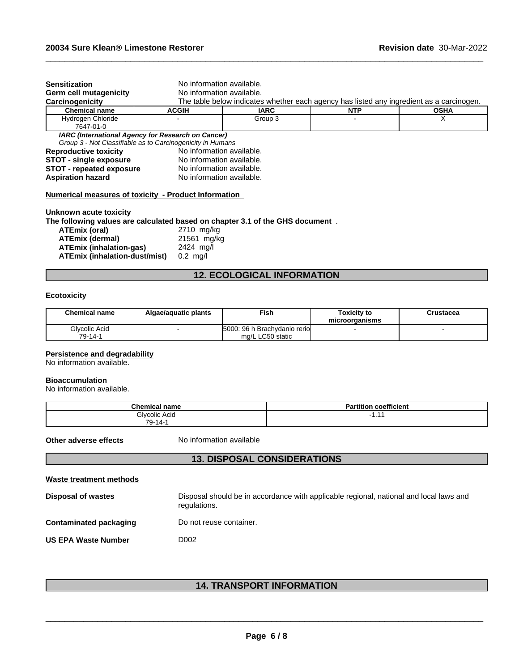| <b>Sensitization</b>                                 | No information available.                                                                                        |                                                                                          |            |             |  |
|------------------------------------------------------|------------------------------------------------------------------------------------------------------------------|------------------------------------------------------------------------------------------|------------|-------------|--|
| <b>Germ cell mutagenicity</b>                        | No information available.                                                                                        |                                                                                          |            |             |  |
| Carcinogenicity                                      |                                                                                                                  | The table below indicates whether each agency has listed any ingredient as a carcinogen. |            |             |  |
| <b>Chemical name</b>                                 | <b>ACGIH</b>                                                                                                     | <b>IARC</b>                                                                              | <b>NTP</b> | <b>OSHA</b> |  |
| Hydrogen Chloride<br>7647-01-0                       |                                                                                                                  | Group 3                                                                                  |            |             |  |
|                                                      | IARC (International Agency for Research on Cancer)<br>Group 3 - Not Classifiable as to Carcinogenicity in Humans |                                                                                          |            |             |  |
| <b>Reproductive toxicity</b>                         | No information available.                                                                                        |                                                                                          |            |             |  |
| <b>STOT - single exposure</b>                        | No information available.                                                                                        |                                                                                          |            |             |  |
| <b>STOT - repeated exposure</b>                      | No information available.                                                                                        |                                                                                          |            |             |  |
| <b>Aspiration hazard</b>                             | No information available.                                                                                        |                                                                                          |            |             |  |
| Numerical measures of toxicity - Product Information |                                                                                                                  |                                                                                          |            |             |  |

 $\_$  ,  $\_$  ,  $\_$  ,  $\_$  ,  $\_$  ,  $\_$  ,  $\_$  ,  $\_$  ,  $\_$  ,  $\_$  ,  $\_$  ,  $\_$  ,  $\_$  ,  $\_$  ,  $\_$  ,  $\_$  ,  $\_$  ,  $\_$  ,  $\_$  ,  $\_$  ,  $\_$  ,  $\_$  ,  $\_$  ,  $\_$  ,  $\_$  ,  $\_$  ,  $\_$  ,  $\_$  ,  $\_$  ,  $\_$  ,  $\_$  ,  $\_$  ,  $\_$  ,  $\_$  ,  $\_$  ,  $\_$  ,  $\_$  ,

**Unknown acute toxicity**

**The following values are calculated based on chapter 3.1 of the GHS document** .

| ATEmix (oral)                        | 2710 mg/kg         |
|--------------------------------------|--------------------|
| <b>ATEmix (dermal)</b>               | 21561 mg/kg        |
| ATEmix (inhalation-gas)              | 2424 ma/l          |
| <b>ATEmix (inhalation-dust/mist)</b> | $0.2 \text{ ma/l}$ |

# **12. ECOLOGICAL INFORMATION**

# **Ecotoxicity**

| <b>Chemical name</b> | Algae/aquatic plants | Fish                          | <b>Toxicity to</b><br>microorganisms | Crustacea |
|----------------------|----------------------|-------------------------------|--------------------------------------|-----------|
| Glycolic Acid        |                      | 5000: 96 h Brachydanio reriol |                                      |           |
| 79-14-1              |                      | mg/L LC50 static              |                                      |           |

## **Persistence and degradability**

No information available.

#### **Bioaccumulation**

No information available.

| <b>Chemical name</b> | $- - -$<br>coefficient<br>п.<br>Partition |
|----------------------|-------------------------------------------|
| Glvcolic Acid        | -<br>.                                    |
| 79<br>`-14∍∖         |                                           |

**Other adverse effects** No information available

# **13. DISPOSAL CONSIDERATIONS**

| Waste treatment methods       |                                                                                                        |
|-------------------------------|--------------------------------------------------------------------------------------------------------|
| <b>Disposal of wastes</b>     | Disposal should be in accordance with applicable regional, national and local laws and<br>regulations. |
| <b>Contaminated packaging</b> | Do not reuse container.                                                                                |
| <b>US EPA Waste Number</b>    | D002                                                                                                   |

# **14. TRANSPORT INFORMATION**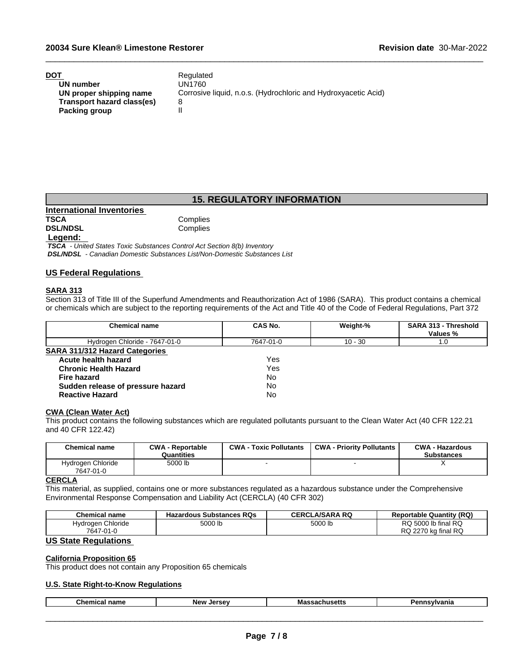| DOT                        | Regulated                                                      |
|----------------------------|----------------------------------------------------------------|
| UN number                  | UN1760                                                         |
| UN proper shipping name    | Corrosive liquid, n.o.s. (Hydrochloric and Hydroxyacetic Acid) |
| Transport hazard class(es) |                                                                |
| Packing group              |                                                                |

# **15. REGULATORY INFORMATION**

 $\_$  ,  $\_$  ,  $\_$  ,  $\_$  ,  $\_$  ,  $\_$  ,  $\_$  ,  $\_$  ,  $\_$  ,  $\_$  ,  $\_$  ,  $\_$  ,  $\_$  ,  $\_$  ,  $\_$  ,  $\_$  ,  $\_$  ,  $\_$  ,  $\_$  ,  $\_$  ,  $\_$  ,  $\_$  ,  $\_$  ,  $\_$  ,  $\_$  ,  $\_$  ,  $\_$  ,  $\_$  ,  $\_$  ,  $\_$  ,  $\_$  ,  $\_$  ,  $\_$  ,  $\_$  ,  $\_$  ,  $\_$  ,  $\_$  ,

**International Inventories DSL/NDSL** 

**Complies**<br>Complies

## **Legend:**

 *TSCA - United States Toxic Substances Control Act Section 8(b) Inventory DSL/NDSL - Canadian Domestic Substances List/Non-Domestic Substances List*

## **US Federal Regulations**

#### **SARA 313**

Section 313 of Title III of the Superfund Amendments and Reauthorization Act of 1986 (SARA). This product contains a chemical or chemicals which are subject to the reporting requirements of the Act and Title 40 of the Code of Federal Regulations, Part 372

| <b>Chemical name</b>                  | CAS No.   | Weight-%  | SARA 313 - Threshold |  |
|---------------------------------------|-----------|-----------|----------------------|--|
|                                       |           |           | Values %             |  |
| Hydrogen Chloride - 7647-01-0         | 7647-01-0 | $10 - 30$ | 1.0                  |  |
| <b>SARA 311/312 Hazard Categories</b> |           |           |                      |  |
| Acute health hazard                   | Yes       |           |                      |  |
| <b>Chronic Health Hazard</b>          | Yes       |           |                      |  |
| <b>Fire hazard</b>                    | No        |           |                      |  |
| Sudden release of pressure hazard     | No        |           |                      |  |
| <b>Reactive Hazard</b>                | No        |           |                      |  |

# **CWA (Clean WaterAct)**

This product contains the following substances which are regulated pollutants pursuant to the Clean Water Act (40 CFR 122.21 and 40 CFR 122.42)

| Chemical name                  | <b>CWA - Reportable</b><br>Quantities | <b>CWA - Toxic Pollutants</b> | <b>CWA - Priority Pollutants</b> | <b>CWA - Hazardous</b><br><b>Substances</b> |
|--------------------------------|---------------------------------------|-------------------------------|----------------------------------|---------------------------------------------|
| Hydrogen Chloride<br>7647-01-0 | 5000 lb                               |                               |                                  |                                             |

#### **CERCLA**

This material, as supplied, contains one or more substances regulated as a hazardous substance under the Comprehensive Environmental Response Compensation and Liability Act (CERCLA) (40 CFR 302)

| <b>Chemical name</b> | <b>Hazardous Substances RQs</b><br>- 40- | .A/SARA RQ<br><b>CERCL</b> | <b>Reportable Quantity (RQ)</b>              |
|----------------------|------------------------------------------|----------------------------|----------------------------------------------|
| Chloride<br>Hvdroaen | FOOO II<br>5000 lb                       | 5000 lb                    | I RQ<br>$5000$ lb final $\sim$<br>RQ         |
| 7647<br>7-01-0       |                                          |                            | <b>RQ</b><br>2270<br>DC.<br>⊧ka final<br>RQ. |

# **US State Regulations**

## **California Proposition 65**

This product does not contain any Proposition 65 chemicals

# **U.S. State Right-to-Know Regulations**

|  | Chemical<br>name | <b>New</b><br>lore<br>. | ша<br>. | anıa |
|--|------------------|-------------------------|---------|------|
|--|------------------|-------------------------|---------|------|